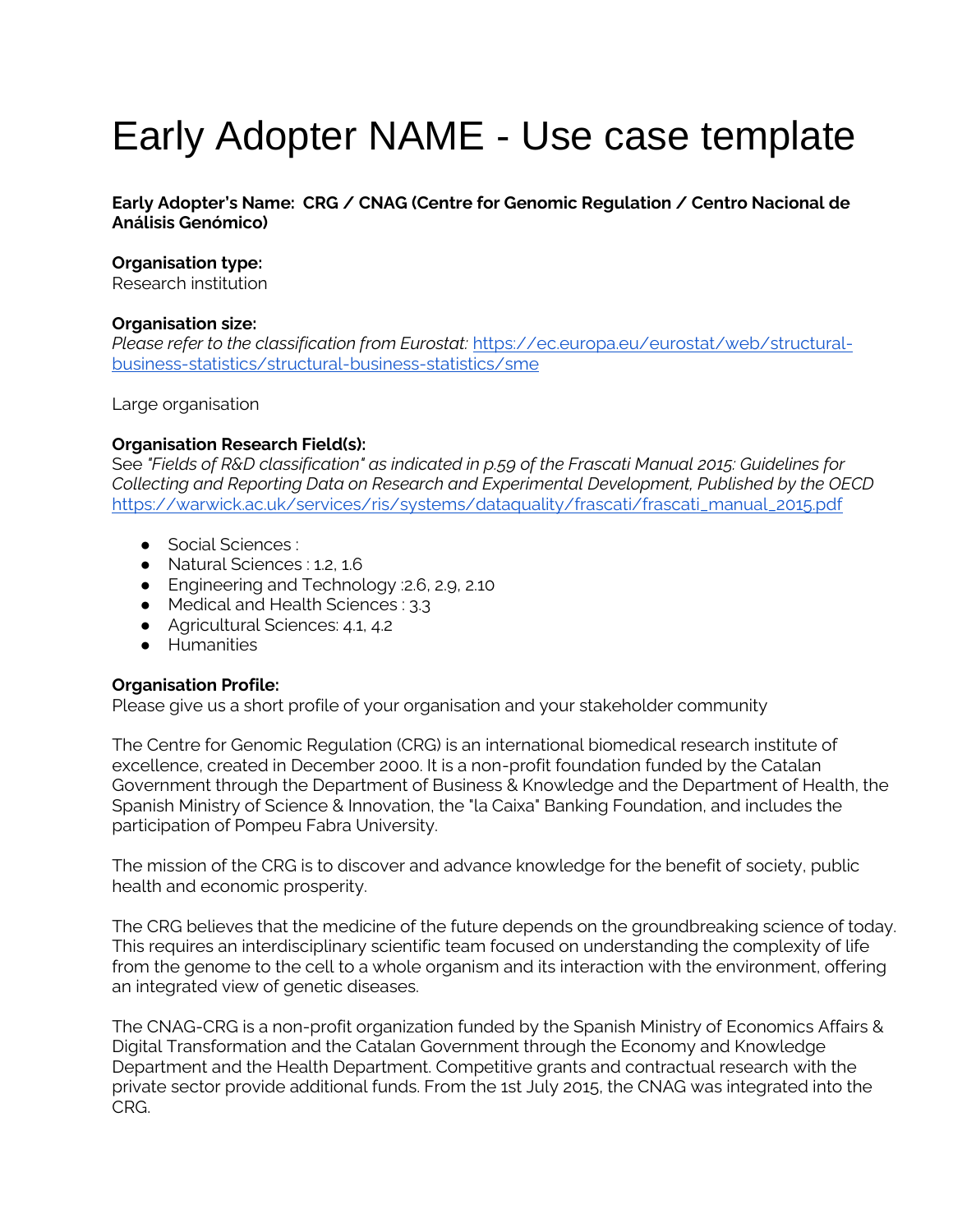# Early Adopter NAME - Use case template

**Early Adopter's Name: CRG / CNAG (Centre for Genomic Regulation / Centro Nacional de Análisis Genómico)**

### **Organisation type:**

Research institution

#### **Organisation size:**

*Please refer to the classification from Eurostat:* [https://ec.europa.eu/eurostat/web/structural](https://ec.europa.eu/eurostat/web/structural-business-statistics/structural-business-statistics/sme)[business-statistics/structural-business-statistics/sme](https://ec.europa.eu/eurostat/web/structural-business-statistics/structural-business-statistics/sme)

Large organisation

#### **Organisation Research Field(s):**

See *"Fields of R&D classification" as indicated in p.59 of the Frascati Manual 2015: Guidelines for Collecting and Reporting Data on Research and Experimental Development, Published by the OECD*  [https://warwick.ac.uk/services/ris/systems/dataquality/frascati/frascati\\_manual\\_2015.pdf](https://warwick.ac.uk/services/ris/systems/dataquality/frascati/frascati_manual_2015.pdf)

- Social Sciences :
- Natural Sciences : 1.2, 1.6
- Engineering and Technology : 2.6, 2.9, 2.10
- Medical and Health Sciences : 3.3
- Agricultural Sciences: 4.1, 4.2
- Humanities

# **Organisation Profile:**

Please give us a short profile of your organisation and your stakeholder community

The Centre for Genomic Regulation (CRG) is an international biomedical research institute of excellence, created in December 2000. It is a non-profit foundation funded by the Catalan Government through the Department of Business & Knowledge and the Department of Health, the Spanish Ministry of Science & Innovation, the "la Caixa" Banking Foundation, and includes the participation of Pompeu Fabra University.

The mission of the CRG is to discover and advance knowledge for the benefit of society, public health and economic prosperity.

The CRG believes that the medicine of the future depends on the groundbreaking science of today. This requires an interdisciplinary scientific team focused on understanding the complexity of life from the genome to the cell to a whole organism and its interaction with the environment, offering an integrated view of genetic diseases.

Th[e](http://www.cnag.crg.eu/) CNAG-CRG is a non-profit organization funded by the Spanish Ministry of Economics Affairs & Digital Transformation and the Catalan Government through the Economy and Knowledge Department and the Health Department. Competitive grants and contractual research with the private sector provide additional funds. From the 1st July 2015, the CNAG was integrated into the CRG.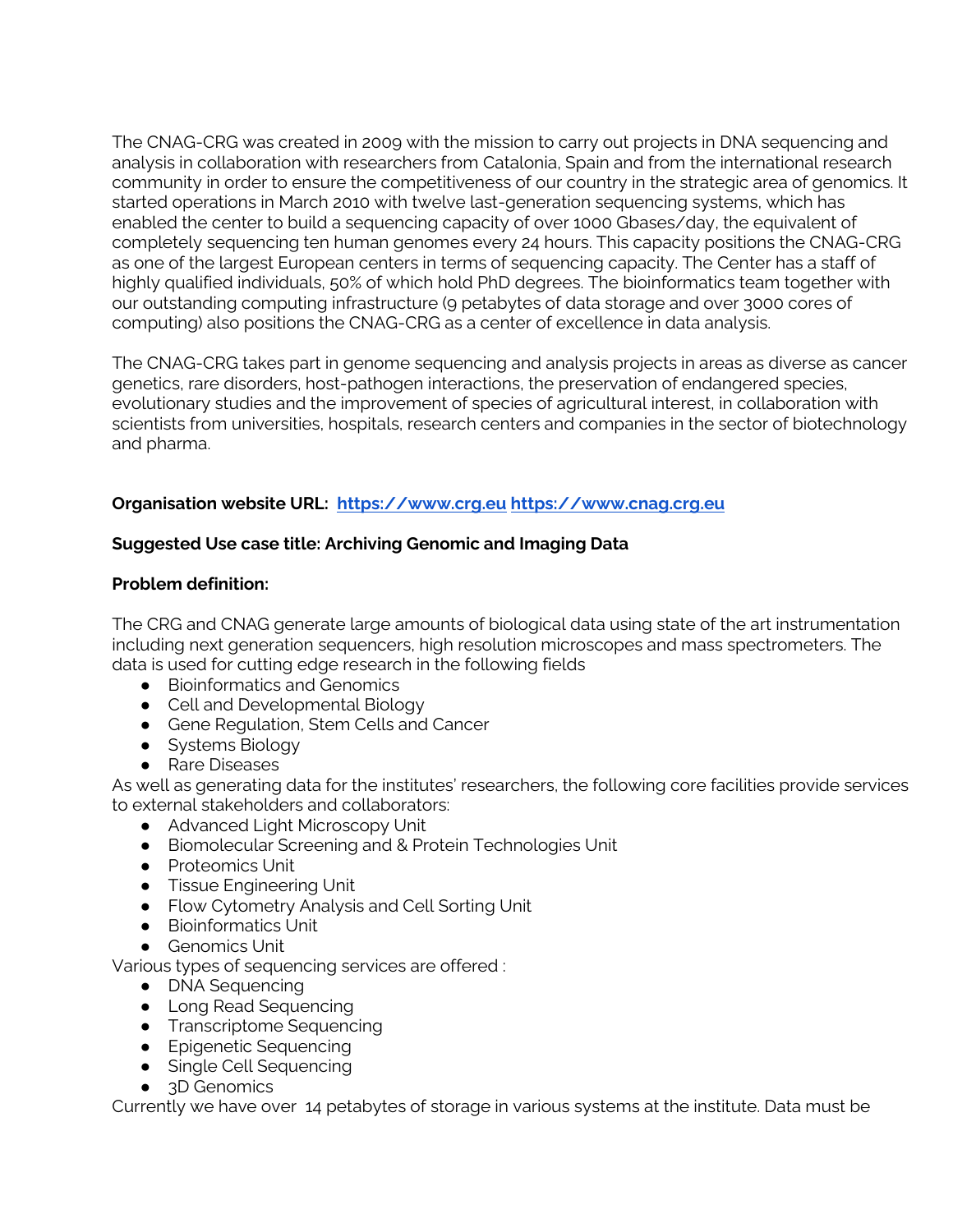The CNAG-CRG was created in 2009 with the mission to carry out projects in DNA sequencing and analysis in collaboration with researchers from Catalonia, Spain and from the international research community in order to ensure the competitiveness of our country in the strategic area of genomics. It started operations in March 2010 with twelve last-generation sequencing systems, which has enabled the center to build a sequencing capacity of over 1000 Gbases/day, the equivalent of completely sequencing ten human genomes every 24 hours. This capacity positions the CNAG-CRG as one of the largest European centers in terms of sequencing capacity. The Center has a staff of highly qualified individuals, 50% of which hold PhD degrees. The bioinformatics team together with our outstanding computing infrastructure (9 petabytes of data storage and over 3000 cores of computing) also positions the CNAG-CRG as a center of excellence in data analysis.

The CNAG-CRG takes part in genome sequencing and analysis projects in areas as diverse as cancer genetics, rare disorders, host-pathogen interactions, the preservation of endangered species, evolutionary studies and the improvement of species of agricultural interest, in collaboration with scientists from universities, hospitals, research centers and companies in the sector of biotechnology and pharma.

# **Organisation website URL: [https://www.crg.eu](https://www.crg.eu/) [https://www.cnag.crg.eu](https://www.cnag.crg.eu/)**

# **Suggested Use case title: Archiving Genomic and Imaging Data**

# **Problem definition:**

The CRG and CNAG generate large amounts of biological data using state of the art instrumentation including next generation sequencers, high resolution microscopes and mass spectrometers. The data is used for cutting edge research in the following fields

- Bioinformatics and Genomics
- Cell and Developmental Biology
- Gene Regulation, Stem Cells and Cancer
- Systems Biology
- Rare Diseases

As well as generating data for the institutes' researchers, the following core facilities provide services to external stakeholders and collaborators:

- Advanced Light Microscopy Unit
- Biomolecular Screening and & Protein Technologies Unit
- Proteomics Unit
- **•** Tissue Engineering Unit
- Flow Cytometry Analysis and Cell Sorting Unit
- Bioinformatics Unit
- Genomics Unit

Various types of sequencing services are offered :

- DNA Sequencing
- Long Read Sequencing
- Transcriptome Sequencing
- Epigenetic Sequencing
- Single Cell Sequencing
- 3D Genomics

Currently we have over 14 petabytes of storage in various systems at the institute. Data must be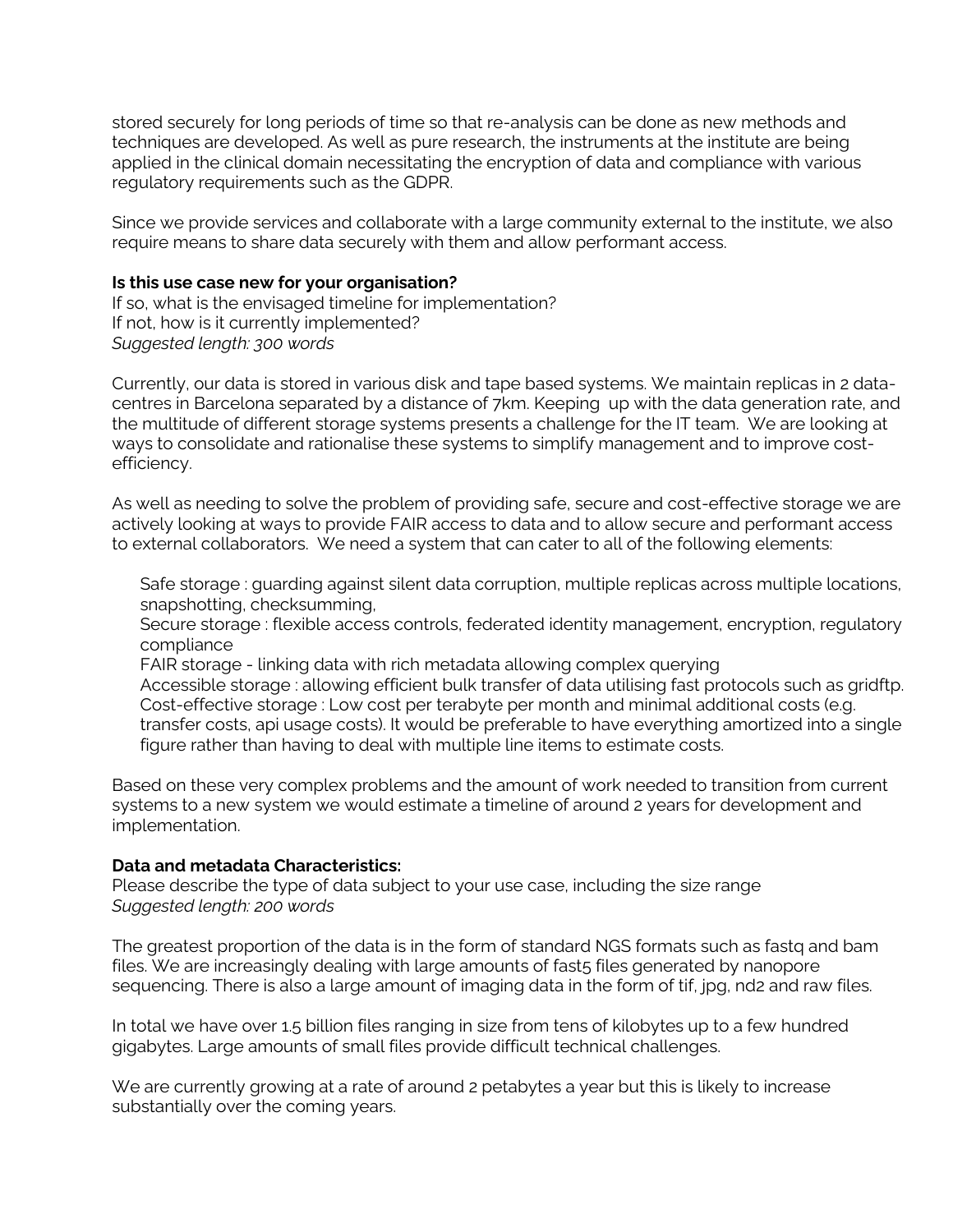stored securely for long periods of time so that re-analysis can be done as new methods and techniques are developed. As well as pure research, the instruments at the institute are being applied in the clinical domain necessitating the encryption of data and compliance with various regulatory requirements such as the GDPR.

Since we provide services and collaborate with a large community external to the institute, we also require means to share data securely with them and allow performant access.

#### **Is this use case new for your organisation?**

If so, what is the envisaged timeline for implementation? If not, how is it currently implemented? *Suggested length: 300 words* 

Currently, our data is stored in various disk and tape based systems. We maintain replicas in 2 datacentres in Barcelona separated by a distance of 7km. Keeping up with the data generation rate, and the multitude of different storage systems presents a challenge for the IT team. We are looking at ways to consolidate and rationalise these systems to simplify management and to improve costefficiency.

As well as needing to solve the problem of providing safe, secure and cost-effective storage we are actively looking at ways to provide FAIR access to data and to allow secure and performant access to external collaborators. We need a system that can cater to all of the following elements:

Safe storage : guarding against silent data corruption, multiple replicas across multiple locations, snapshotting, checksumming,

Secure storage : flexible access controls, federated identity management, encryption, regulatory compliance

FAIR storage - linking data with rich metadata allowing complex querying

Accessible storage : allowing efficient bulk transfer of data utilising fast protocols such as gridftp. Cost-effective storage : Low cost per terabyte per month and minimal additional costs (e.g. transfer costs, api usage costs). It would be preferable to have everything amortized into a single figure rather than having to deal with multiple line items to estimate costs.

Based on these very complex problems and the amount of work needed to transition from current systems to a new system we would estimate a timeline of around 2 years for development and implementation.

# **Data and metadata Characteristics:**

Please describe the type of data subject to your use case, including the size range *Suggested length: 200 words* 

The greatest proportion of the data is in the form of standard NGS formats such as fastq and bam files. We are increasingly dealing with large amounts of fast5 files generated by nanopore sequencing. There is also a large amount of imaging data in the form of tif, jpg, nd2 and raw files.

In total we have over 1.5 billion files ranging in size from tens of kilobytes up to a few hundred gigabytes. Large amounts of small files provide difficult technical challenges.

We are currently growing at a rate of around 2 petabytes a year but this is likely to increase substantially over the coming years.